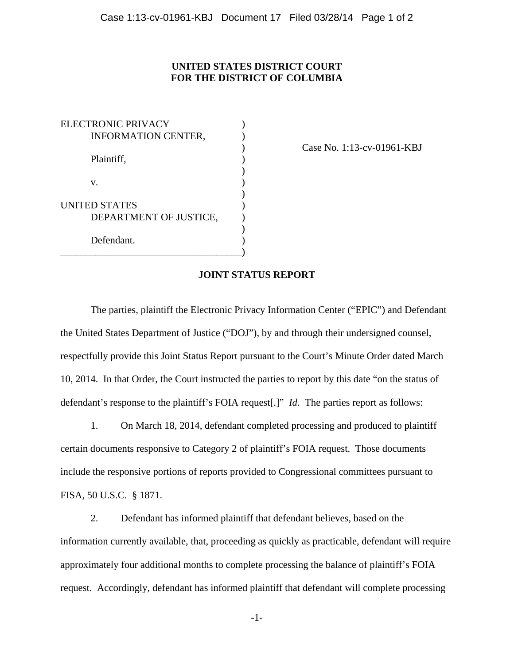## **UNITED STATES DISTRICT COURT FOR THE DISTRICT OF COLUMBIA**

ELECTRONIC PRIVACY (1997) INFORMATION CENTER, Plaintiff,  $\qquad \qquad$ ) )  $\mathbf{v}$ .  $)$ UNITED STATES ) DEPARTMENT OF JUSTICE,  $\mathcal{L}$ Defendant. \_\_\_\_\_\_\_\_\_\_\_\_\_\_\_\_\_\_\_\_\_\_\_\_\_\_\_\_\_\_\_\_\_\_\_\_)

) Case No. 1:13-cv-01961-KBJ

## **JOINT STATUS REPORT**

The parties, plaintiff the Electronic Privacy Information Center ("EPIC") and Defendant the United States Department of Justice ("DOJ"), by and through their undersigned counsel, respectfully provide this Joint Status Report pursuant to the Court's Minute Order dated March 10, 2014. In that Order, the Court instructed the parties to report by this date "on the status of defendant's response to the plaintiff's FOIA request[.]" *Id.* The parties report as follows:

1. On March 18, 2014, defendant completed processing and produced to plaintiff certain documents responsive to Category 2 of plaintiff's FOIA request. Those documents include the responsive portions of reports provided to Congressional committees pursuant to FISA, 50 U.S.C. § 1871.

2. Defendant has informed plaintiff that defendant believes, based on the information currently available, that, proceeding as quickly as practicable, defendant will require approximately four additional months to complete processing the balance of plaintiff's FOIA request. Accordingly, defendant has informed plaintiff that defendant will complete processing